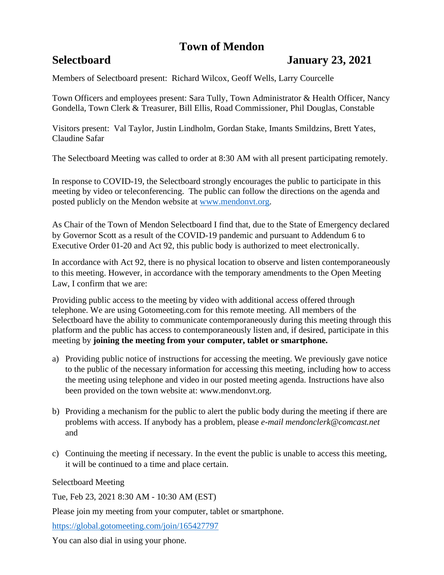# **Town of Mendon**

## **Selectboard January 23, 2021**

Members of Selectboard present: Richard Wilcox, Geoff Wells, Larry Courcelle

Town Officers and employees present: Sara Tully, Town Administrator & Health Officer, Nancy Gondella, Town Clerk & Treasurer, Bill Ellis, Road Commissioner, Phil Douglas, Constable

Visitors present: Val Taylor, Justin Lindholm, Gordan Stake, Imants Smildzins, Brett Yates, Claudine Safar

The Selectboard Meeting was called to order at 8:30 AM with all present participating remotely.

In response to COVID-19, the Selectboard strongly encourages the public to participate in this meeting by video or teleconferencing. The public can follow the directions on the agenda and posted publicly on the Mendon website at [www.mendonvt.org.](http://www.mendonvt.org/)

As Chair of the Town of Mendon Selectboard I find that, due to the State of Emergency declared by Governor Scott as a result of the COVID-19 pandemic and pursuant to Addendum 6 to Executive Order 01-20 and Act 92, this public body is authorized to meet electronically.

In accordance with Act 92, there is no physical location to observe and listen contemporaneously to this meeting. However, in accordance with the temporary amendments to the Open Meeting Law, I confirm that we are:

Providing public access to the meeting by video with additional access offered through telephone. We are using Gotomeeting.com for this remote meeting. All members of the Selectboard have the ability to communicate contemporaneously during this meeting through this platform and the public has access to contemporaneously listen and, if desired, participate in this meeting by **joining the meeting from your computer, tablet or smartphone.** 

- a) Providing public notice of instructions for accessing the meeting. We previously gave notice to the public of the necessary information for accessing this meeting, including how to access the meeting using telephone and video in our posted meeting agenda. Instructions have also been provided on the town website at: www.mendonvt.org.
- b) Providing a mechanism for the public to alert the public body during the meeting if there are problems with access. If anybody has a problem, please *e-mail mendonclerk@comcast.net* and
- c) Continuing the meeting if necessary. In the event the public is unable to access this meeting, it will be continued to a time and place certain.

Selectboard Meeting

Tue, Feb 23, 2021 8:30 AM - 10:30 AM (EST)

Please join my meeting from your computer, tablet or smartphone.

<https://global.gotomeeting.com/join/165427797>

You can also dial in using your phone.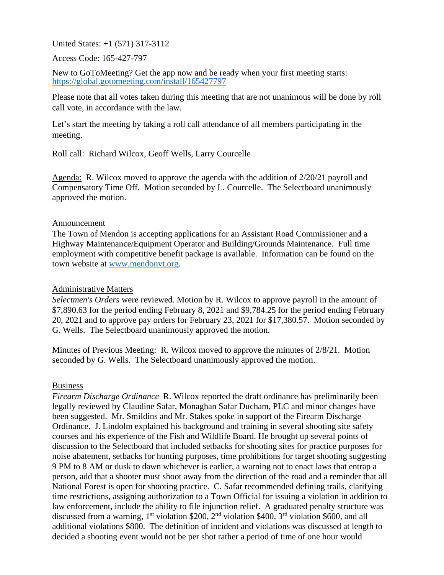United States: +1 (571) 317-3112

Access Code: 165-427-797

New to GoToMeeting? Get the app now and be ready when your first meeting starts: <https://global.gotomeeting.com/install/165427797>

Please note that all votes taken during this meeting that are not unanimous will be done by roll call vote, in accordance with the law.

Let's start the meeting by taking a roll call attendance of all members participating in the meeting.

Roll call: Richard Wilcox, Geoff Wells, Larry Courcelle

Agenda: R. Wilcox moved to approve the agenda with the addition of 2/20/21 payroll and Compensatory Time Off. Motion seconded by L. Courcelle. The Selectboard unanimously approved the motion.

#### Announcement

The Town of Mendon is accepting applications for an Assistant Road Commissioner and a Highway Maintenance/Equipment Operator and Building/Grounds Maintenance. Full time employment with competitive benefit package is available. Information can be found on the town website at [www.mendonvt.org.](http://www.mendonvt.org/)

### Administrative Matters

*Selectmen's Orders* were reviewed. Motion by R. Wilcox to approve payroll in the amount of \$7,890.63 for the period ending February 8, 2021 and \$9,784.25 for the period ending February 20, 2021 and to approve pay orders for February 23, 2021 for \$17,380.57. Motion seconded by G. Wells. The Selectboard unanimously approved the motion.

Minutes of Previous Meeting: R. Wilcox moved to approve the minutes of 2/8/21. Motion seconded by G. Wells. The Selectboard unanimously approved the motion.

#### Business

*Firearm Discharge Ordinance* R. Wilcox reported the draft ordinance has preliminarily been legally reviewed by Claudine Safar, Monaghan Safar Ducham, PLC and minor changes have been suggested. Mr. Smildins and Mr. Stakes spoke in support of the Firearm Discharge Ordinance. J. Lindolm explained his background and training in several shooting site safety courses and his experience of the Fish and Wildlife Board. He brought up several points of discussion to the Selectboard that included setbacks for shooting sites for practice purposes for noise abatement, setbacks for hunting purposes, time prohibitions for target shooting suggesting 9 PM to 8 AM or dusk to dawn whichever is earlier, a warning not to enact laws that entrap a person, add that a shooter must shoot away from the direction of the road and a reminder that all National Forest is open for shooting practice. C. Safar recommended defining trails, clarifying time restrictions, assigning authorization to a Town Official for issuing a violation in addition to law enforcement, include the ability to file injunction relief. A graduated penalty structure was discussed from a warning,  $1<sup>st</sup>$  violation \$200,  $2<sup>nd</sup>$  violation \$400,  $3<sup>rd</sup>$  violation \$600, and all additional violations \$800. The definition of incident and violations was discussed at length to decided a shooting event would not be per shot rather a period of time of one hour would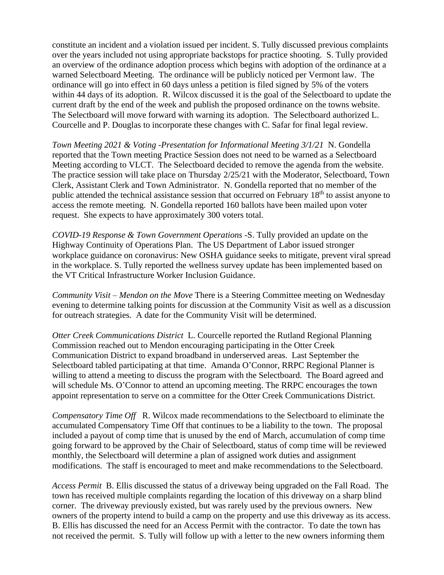constitute an incident and a violation issued per incident. S. Tully discussed previous complaints over the years included not using appropriate backstops for practice shooting. S. Tully provided an overview of the ordinance adoption process which begins with adoption of the ordinance at a warned Selectboard Meeting. The ordinance will be publicly noticed per Vermont law. The ordinance will go into effect in 60 days unless a petition is filed signed by 5% of the voters within 44 days of its adoption. R. Wilcox discussed it is the goal of the Selectboard to update the current draft by the end of the week and publish the proposed ordinance on the towns website. The Selectboard will move forward with warning its adoption. The Selectboard authorized L. Courcelle and P. Douglas to incorporate these changes with C. Safar for final legal review.

*Town Meeting 2021 & Voting -Presentation for Informational Meeting 3/1/21* N. Gondella reported that the Town meeting Practice Session does not need to be warned as a Selectboard Meeting according to VLCT. The Selectboard decided to remove the agenda from the website. The practice session will take place on Thursday 2/25/21 with the Moderator, Selectboard, Town Clerk, Assistant Clerk and Town Administrator. N. Gondella reported that no member of the public attended the technical assistance session that occurred on February 18<sup>th</sup> to assist anyone to access the remote meeting. N. Gondella reported 160 ballots have been mailed upon voter request. She expects to have approximately 300 voters total.

*COVID-19 Response & Town Government Operations* -S. Tully provided an update on the Highway Continuity of Operations Plan. The US Department of Labor issued stronger workplace guidance on coronavirus: New OSHA guidance seeks to mitigate, prevent viral spread in the workplace. S. Tully reported the wellness survey update has been implemented based on the VT Critical Infrastructure Worker Inclusion Guidance.

*Community Visit – Mendon on the Move* There is a Steering Committee meeting on Wednesday evening to determine talking points for discussion at the Community Visit as well as a discussion for outreach strategies. A date for the Community Visit will be determined.

*Otter Creek Communications District* L. Courcelle reported the Rutland Regional Planning Commission reached out to Mendon encouraging participating in the Otter Creek Communication District to expand broadband in underserved areas. Last September the Selectboard tabled participating at that time. Amanda O'Connor, RRPC Regional Planner is willing to attend a meeting to discuss the program with the Selectboard. The Board agreed and will schedule Ms. O'Connor to attend an upcoming meeting. The RRPC encourages the town appoint representation to serve on a committee for the Otter Creek Communications District.

*Compensatory Time Off* R. Wilcox made recommendations to the Selectboard to eliminate the accumulated Compensatory Time Off that continues to be a liability to the town. The proposal included a payout of comp time that is unused by the end of March, accumulation of comp time going forward to be approved by the Chair of Selectboard, status of comp time will be reviewed monthly, the Selectboard will determine a plan of assigned work duties and assignment modifications. The staff is encouraged to meet and make recommendations to the Selectboard.

*Access Permit* B. Ellis discussed the status of a driveway being upgraded on the Fall Road. The town has received multiple complaints regarding the location of this driveway on a sharp blind corner. The driveway previously existed, but was rarely used by the previous owners. New owners of the property intend to build a camp on the property and use this driveway as its access. B. Ellis has discussed the need for an Access Permit with the contractor. To date the town has not received the permit. S. Tully will follow up with a letter to the new owners informing them